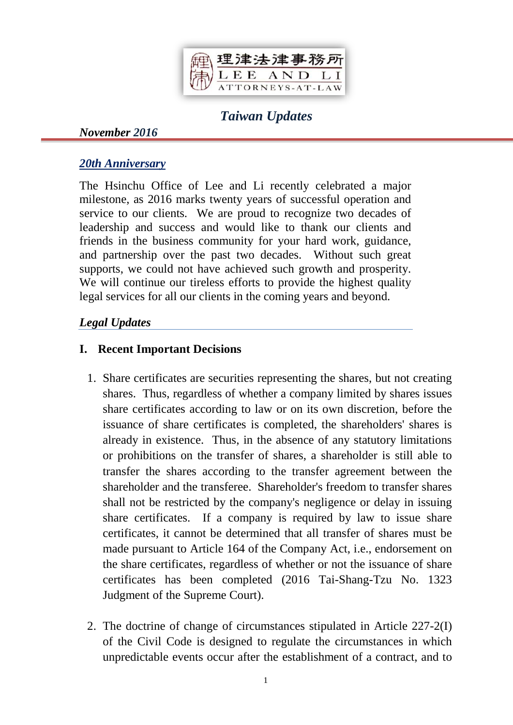

# *Taiwan Updates*

#### *November 2016*

### *20th Anniversary*

The Hsinchu Office of Lee and Li recently celebrated a major milestone, as 2016 marks twenty years of successful operation and service to our clients. We are proud to recognize two decades of leadership and success and would like to thank our clients and friends in the business community for your hard work, guidance, and partnership over the past two decades. Without such great supports, we could not have achieved such growth and prosperity. We will continue our tireless efforts to provide the highest quality legal services for all our clients in the coming years and beyond.

## *Legal Updates*

## **I. Recent Important Decisions**

- 1. Share certificates are securities representing the shares, but not creating shares. Thus, regardless of whether a company limited by shares issues share certificates according to law or on its own discretion, before the issuance of share certificates is completed, the shareholders' shares is already in existence. Thus, in the absence of any statutory limitations or prohibitions on the transfer of shares, a shareholder is still able to transfer the shares according to the transfer agreement between the shareholder and the transferee. Shareholder's freedom to transfer shares shall not be restricted by the company's negligence or delay in issuing share certificates. If a company is required by law to issue share certificates, it cannot be determined that all transfer of shares must be made pursuant to Article 164 of the Company Act, i.e., endorsement on the share certificates, regardless of whether or not the issuance of share certificates has been completed (2016 Tai-Shang-Tzu No. 1323 Judgment of the Supreme Court).
- 2. The doctrine of change of circumstances stipulated in Article 227-2(I) of the Civil Code is designed to regulate the circumstances in which unpredictable events occur after the establishment of a contract, and to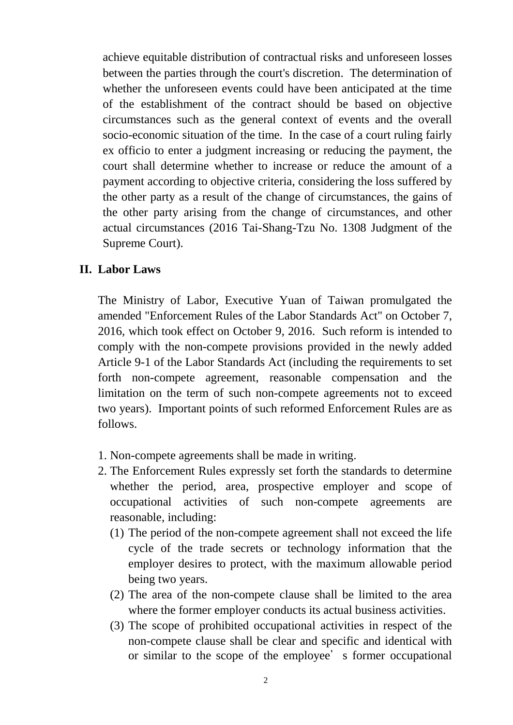achieve equitable distribution of contractual risks and unforeseen losses between the parties through the court's discretion. The determination of whether the unforeseen events could have been anticipated at the time of the establishment of the contract should be based on objective circumstances such as the general context of events and the overall socio-economic situation of the time. In the case of a court ruling fairly ex officio to enter a judgment increasing or reducing the payment, the court shall determine whether to increase or reduce the amount of a payment according to objective criteria, considering the loss suffered by the other party as a result of the change of circumstances, the gains of the other party arising from the change of circumstances, and other actual circumstances (2016 Tai-Shang-Tzu No. 1308 Judgment of the Supreme Court).

#### **II. Labor Laws**

The Ministry of Labor, Executive Yuan of Taiwan promulgated the amended "Enforcement Rules of the Labor Standards Act" on October 7, 2016, which took effect on October 9, 2016. Such reform is intended to comply with the non-compete provisions provided in the newly added Article 9-1 of the Labor Standards Act (including the requirements to set forth non-compete agreement, reasonable compensation and the limitation on the term of such non-compete agreements not to exceed two years). Important points of such reformed Enforcement Rules are as follows.

- 1. Non-compete agreements shall be made in writing.
- 2. The Enforcement Rules expressly set forth the standards to determine whether the period, area, prospective employer and scope of occupational activities of such non-compete agreements are reasonable, including:
	- (1) The period of the non-compete agreement shall not exceed the life cycle of the trade secrets or technology information that the employer desires to protect, with the maximum allowable period being two years.
	- (2) The area of the non-compete clause shall be limited to the area where the former employer conducts its actual business activities.
	- (3) The scope of prohibited occupational activities in respect of the non-compete clause shall be clear and specific and identical with or similar to the scope of the employee's former occupational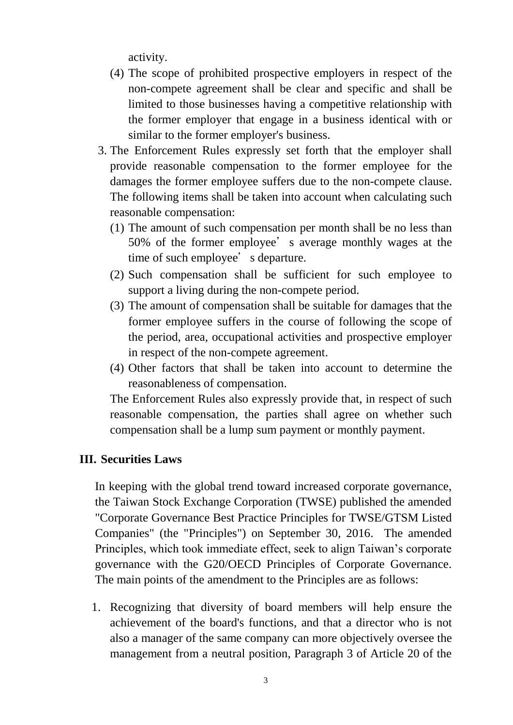activity.

- (4) The scope of prohibited prospective employers in respect of the non-compete agreement shall be clear and specific and shall be limited to those businesses having a competitive relationship with the former employer that engage in a business identical with or similar to the former employer's business.
- 3. The Enforcement Rules expressly set forth that the employer shall provide reasonable compensation to the former employee for the damages the former employee suffers due to the non-compete clause. The following items shall be taken into account when calculating such reasonable compensation:
	- (1) The amount of such compensation per month shall be no less than 50% of the former employee's average monthly wages at the time of such employee's departure.
	- (2) Such compensation shall be sufficient for such employee to support a living during the non-compete period.
	- (3) The amount of compensation shall be suitable for damages that the former employee suffers in the course of following the scope of the period, area, occupational activities and prospective employer in respect of the non-compete agreement.
	- (4) Other factors that shall be taken into account to determine the reasonableness of compensation.

The Enforcement Rules also expressly provide that, in respect of such reasonable compensation, the parties shall agree on whether such compensation shall be a lump sum payment or monthly payment.

#### **III. Securities Laws**

In keeping with the global trend toward increased corporate governance, the Taiwan Stock Exchange Corporation (TWSE) published the amended "Corporate Governance Best Practice Principles for TWSE/GTSM Listed Companies" (the "Principles") on September 30, 2016. The amended Principles, which took immediate effect, seek to align Taiwan's corporate governance with the G20/OECD Principles of Corporate Governance. The main points of the amendment to the Principles are as follows:

1. Recognizing that diversity of board members will help ensure the achievement of the board's functions, and that a director who is not also a manager of the same company can more objectively oversee the management from a neutral position, Paragraph 3 of Article 20 of the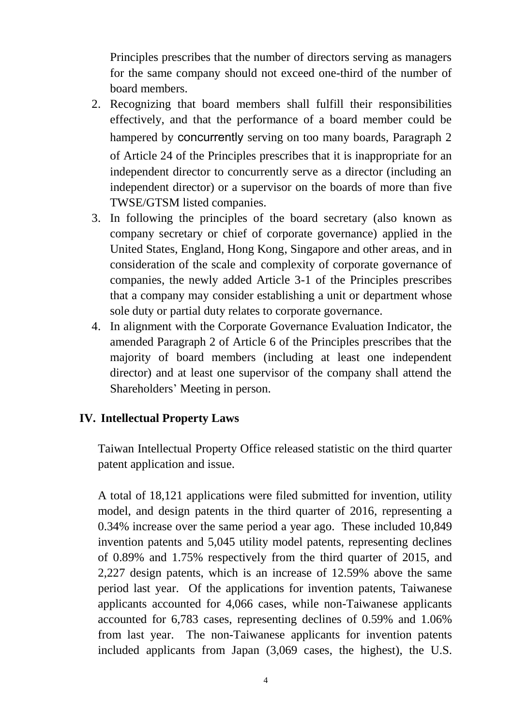Principles prescribes that the number of directors serving as managers for the same company should not exceed one-third of the number of board members.

- 2. Recognizing that board members shall fulfill their responsibilities effectively, and that the performance of a board member could be hampered by concurrently serving on too many boards, Paragraph 2 of Article 24 of the Principles prescribes that it is inappropriate for an independent director to concurrently serve as a director (including an independent director) or a supervisor on the boards of more than five TWSE/GTSM listed companies.
- 3. In following the principles of the board secretary (also known as company secretary or chief of corporate governance) applied in the United States, England, Hong Kong, Singapore and other areas, and in consideration of the scale and complexity of corporate governance of companies, the newly added Article 3-1 of the Principles prescribes that a company may consider establishing a unit or department whose sole duty or partial duty relates to corporate governance.
- 4. In alignment with the Corporate Governance Evaluation Indicator, the amended Paragraph 2 of Article 6 of the Principles prescribes that the majority of board members (including at least one independent director) and at least one supervisor of the company shall attend the Shareholders' Meeting in person.

#### **IV. Intellectual Property Laws**

Taiwan Intellectual Property Office released statistic on the third quarter patent application and issue.

A total of 18,121 applications were filed submitted for invention, utility model, and design patents in the third quarter of 2016, representing a 0.34% increase over the same period a year ago. These included 10,849 invention patents and 5,045 utility model patents, representing declines of 0.89% and 1.75% respectively from the third quarter of 2015, and 2,227 design patents, which is an increase of 12.59% above the same period last year. Of the applications for invention patents, Taiwanese applicants accounted for 4,066 cases, while non-Taiwanese applicants accounted for 6,783 cases, representing declines of 0.59% and 1.06% from last year. The non-Taiwanese applicants for invention patents included applicants from Japan (3,069 cases, the highest), the U.S.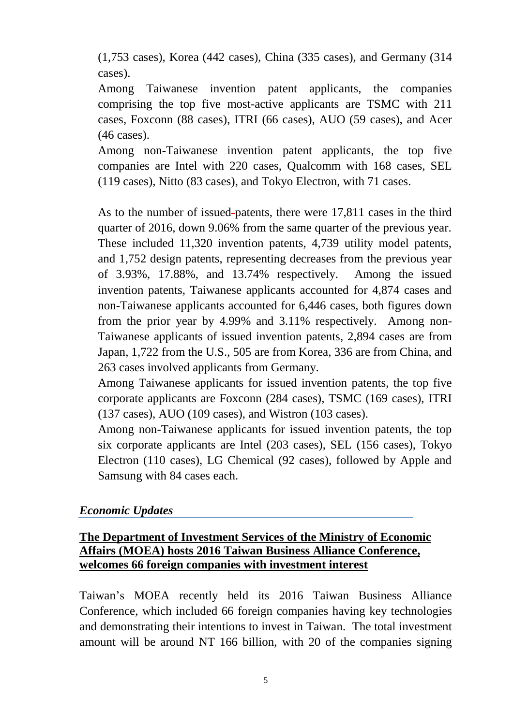(1,753 cases), Korea (442 cases), China (335 cases), and Germany (314 cases).

Among Taiwanese invention patent applicants, the companies comprising the top five most-active applicants are TSMC with 211 cases, Foxconn (88 cases), ITRI (66 cases), AUO (59 cases), and Acer (46 cases).

Among non-Taiwanese invention patent applicants, the top five companies are Intel with 220 cases, Qualcomm with 168 cases, SEL (119 cases), Nitto (83 cases), and Tokyo Electron, with 71 cases.

As to the number of issued patents, there were 17,811 cases in the third quarter of 2016, down 9.06% from the same quarter of the previous year. These included 11,320 invention patents, 4,739 utility model patents, and 1,752 design patents, representing decreases from the previous year of 3.93%, 17.88%, and 13.74% respectively. Among the issued invention patents, Taiwanese applicants accounted for 4,874 cases and non-Taiwanese applicants accounted for 6,446 cases, both figures down from the prior year by 4.99% and 3.11% respectively. Among non-Taiwanese applicants of issued invention patents, 2,894 cases are from Japan, 1,722 from the U.S., 505 are from Korea, 336 are from China, and 263 cases involved applicants from Germany.

Among Taiwanese applicants for issued invention patents, the top five corporate applicants are Foxconn (284 cases), TSMC (169 cases), ITRI (137 cases), AUO (109 cases), and Wistron (103 cases).

Among non-Taiwanese applicants for issued invention patents, the top six corporate applicants are Intel (203 cases), SEL (156 cases), Tokyo Electron (110 cases), LG Chemical (92 cases), followed by Apple and Samsung with 84 cases each.

#### *Economic Updates*

## **The Department of Investment Services of the Ministry of Economic Affairs (MOEA) hosts 2016 Taiwan Business Alliance Conference, welcomes 66 foreign companies with investment interest**

Taiwan's MOEA recently held its 2016 Taiwan Business Alliance Conference, which included 66 foreign companies having key technologies and demonstrating their intentions to invest in Taiwan. The total investment amount will be around NT 166 billion, with 20 of the companies signing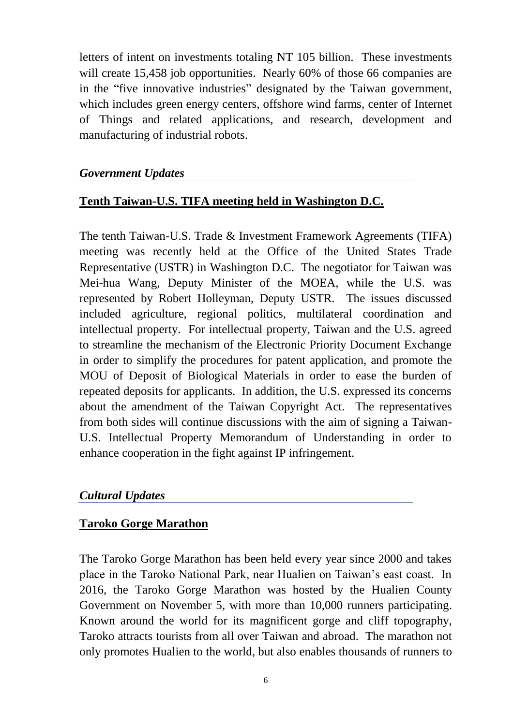letters of intent on investments totaling NT 105 billion. These investments will create 15,458 job opportunities. Nearly 60% of those 66 companies are in the "five innovative industries" designated by the Taiwan government, which includes green energy centers, offshore wind farms, center of Internet of Things and related applications, and research, development and manufacturing of industrial robots.

#### *Government Updates*

## **Tenth Taiwan-U.S. TIFA meeting held in Washington D.C.**

The tenth Taiwan-U.S. Trade & Investment Framework Agreements (TIFA) meeting was recently held at the Office of the United States Trade Representative (USTR) in Washington D.C. The negotiator for Taiwan was Mei-hua Wang, Deputy Minister of the MOEA, while the U.S. was represented by Robert Holleyman, Deputy USTR. The issues discussed included agriculture, regional politics, multilateral coordination and intellectual property. For intellectual property, Taiwan and the U.S. agreed to streamline the mechanism of the Electronic Priority Document Exchange in order to simplify the procedures for patent application, and promote the MOU of Deposit of Biological Materials in order to ease the burden of repeated deposits for applicants. In addition, the U.S. expressed its concerns about the amendment of the Taiwan Copyright Act. The representatives from both sides will continue discussions with the aim of signing a Taiwan-U.S. Intellectual Property Memorandum of Understanding in order to enhance cooperation in the fight against IP-infringement.

#### *Cultural Updates*

#### **Taroko Gorge Marathon**

The Taroko Gorge Marathon has been held every year since 2000 and takes place in the Taroko National Park, near Hualien on Taiwan's east coast. In 2016, the Taroko Gorge Marathon was hosted by the Hualien County Government on November 5, with more than 10,000 runners participating. Known around the world for its magnificent gorge and cliff topography, Taroko attracts tourists from all over Taiwan and abroad. The marathon not only promotes Hualien to the world, but also enables thousands of runners to